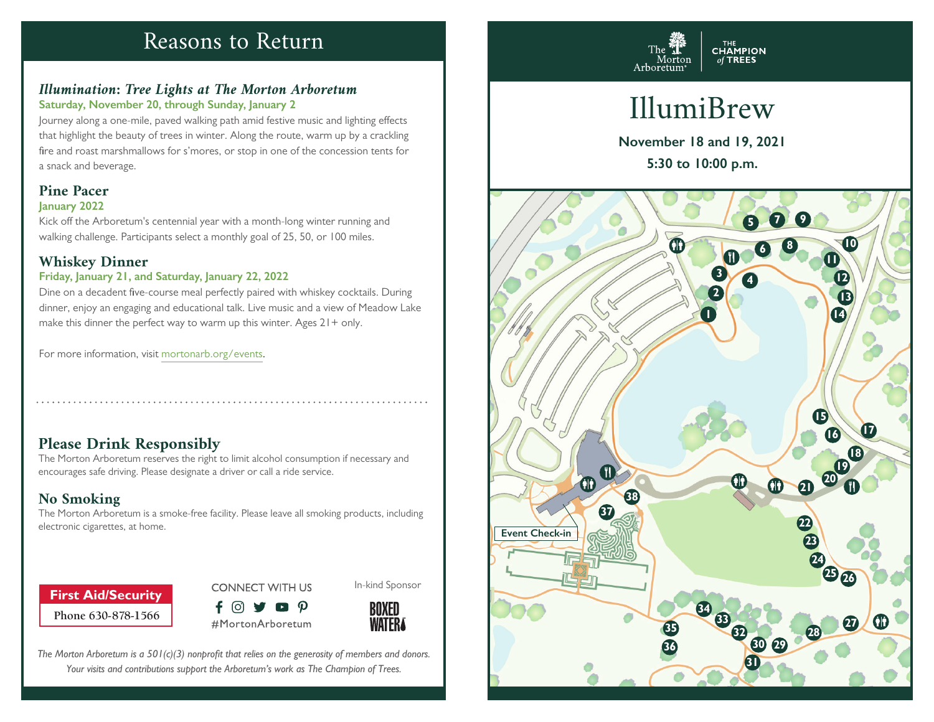# Reasons to Return

# *Illumination: Tree Lights at The Morton Arboretum* **Saturday, November 20, through Sunday, January 2**

Journey along a one-mile, paved walking path amid festive music and lighting effects that highlight the beauty of trees in winter. Along the route, warm up by a crackling fire and roast marshmallows for s'mores, or stop in one of the concession tents for a snack and beverage.

# **Pine Pacer January 2022**

Kick off the Arboretum's centennial year with a month-long winter running and walking challenge. Participants select a monthly goal of 25, 50, or 100 miles.

# **Whiskey Dinner**

# **Friday, January 21, and Saturday, January 22, 2022**

Dine on a decadent five-course meal perfectly paired with whiskey cocktails. During dinner, enjoy an engaging and educational talk. Live music and a view of Meadow Lake make this dinner the perfect way to warm up this winter. Ages  $21 +$  only.

For more information, visit mortonarb.org/events.

# **Please Drink Responsibly**

The Morton Arboretum reserves the right to limit alcohol consumption if necessary and encourages safe driving. Please designate a driver or call a ride service.

# **No Smoking**

The Morton Arboretum is a smoke-free facility. Please leave all smoking products, including electronic cigarettes, at home. **Event Check-in** 

# **Phone 630-878-1566 First Aid/Security**





In-kind Sponsor

*The Morton Arboretum is a 501(c)(3) nonprofit that relies on the generosity of members and donors. Your visits and contributions support the Arboretum's work as The Champion of Trees.*



# IllumiBrew

**November 18 and 19, 2021 5:30 to 10:00 p.m.**